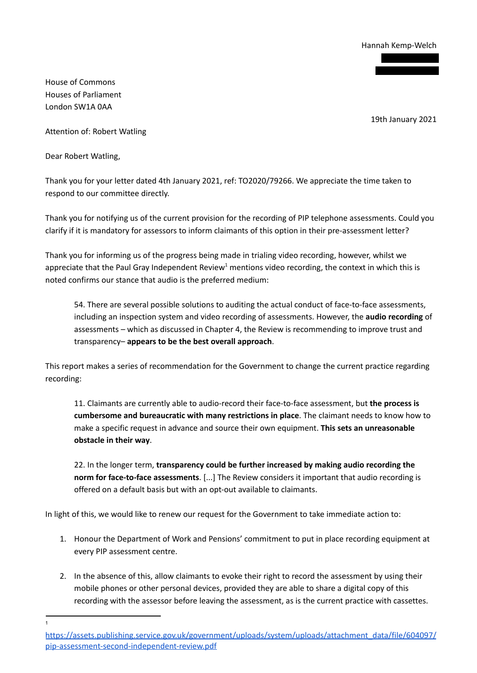Hannah Kemp-Welch

House of Commons Houses of Parliament London SW1A 0AA

19th January 2021

Attention of: Robert Watling

Dear Robert Watling,

Thank you for your letter dated 4th January 2021, ref: TO2020/79266. We appreciate the time taken to respond to our committee directly.

Thank you for notifying us of the current provision for the recording of PIP telephone assessments. Could you clarify if it is mandatory for assessors to inform claimants of this option in their pre-assessment letter?

Thank you for informing us of the progress being made in trialing video recording, however, whilst we appreciate that the Paul Gray Independent Review<sup>1</sup> mentions video recording, the context in which this is noted confirms our stance that audio is the preferred medium:

54. There are several possible solutions to auditing the actual conduct of face-to-face assessments, including an inspection system and video recording of assessments. However, the **audio recording** of assessments – which as discussed in Chapter 4, the Review is recommending to improve trust and transparency– **appears to be the best overall approach**.

This report makes a series of recommendation for the Government to change the current practice regarding recording:

11. Claimants are currently able to audio-record their face-to-face assessment, but **the process is cumbersome and bureaucratic with many restrictions in place**. The claimant needs to know how to make a specific request in advance and source their own equipment. **This sets an unreasonable obstacle in their way**.

22. In the longer term, **transparency could be further increased by making audio recording the norm for face-to-face assessments**. [...] The Review considers it important that audio recording is offered on a default basis but with an opt-out available to claimants.

In light of this, we would like to renew our request for the Government to take immediate action to:

- 1. Honour the Department of Work and Pensions' commitment to put in place recording equipment at every PIP assessment centre.
- 2. In the absence of this, allow claimants to evoke their right to record the assessment by using their mobile phones or other personal devices, provided they are able to share a digital copy of this recording with the assessor before leaving the assessment, as is the current practice with cassettes.

1

https://assets.publishing.service.gov.uk/government/uploads/system/uploads/attachment\_data/file/604097/ pip-assessment-second-independent-review.pdf